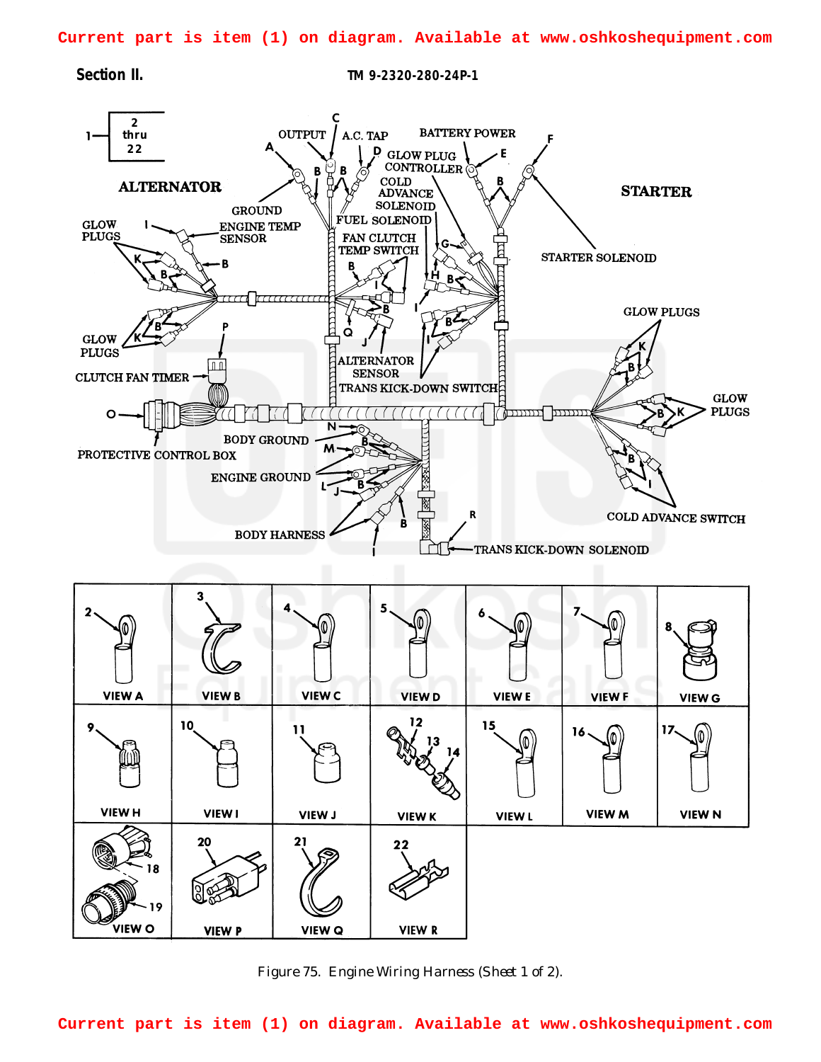<span id="page-0-0"></span>**Current part is item (1) on diagram. Available at www.oshkoshequipment.com**

VIEW O

**VIEW P** 

**Section II. TM 9-2320-280-24P-1**



*Figure 75. Engine Wiring Harness (Sheet 1 of 2).*

**VIEW R** 

**VIEW Q** 

**Current part is item (1) on diagram. Available at www.oshkoshequipment.com**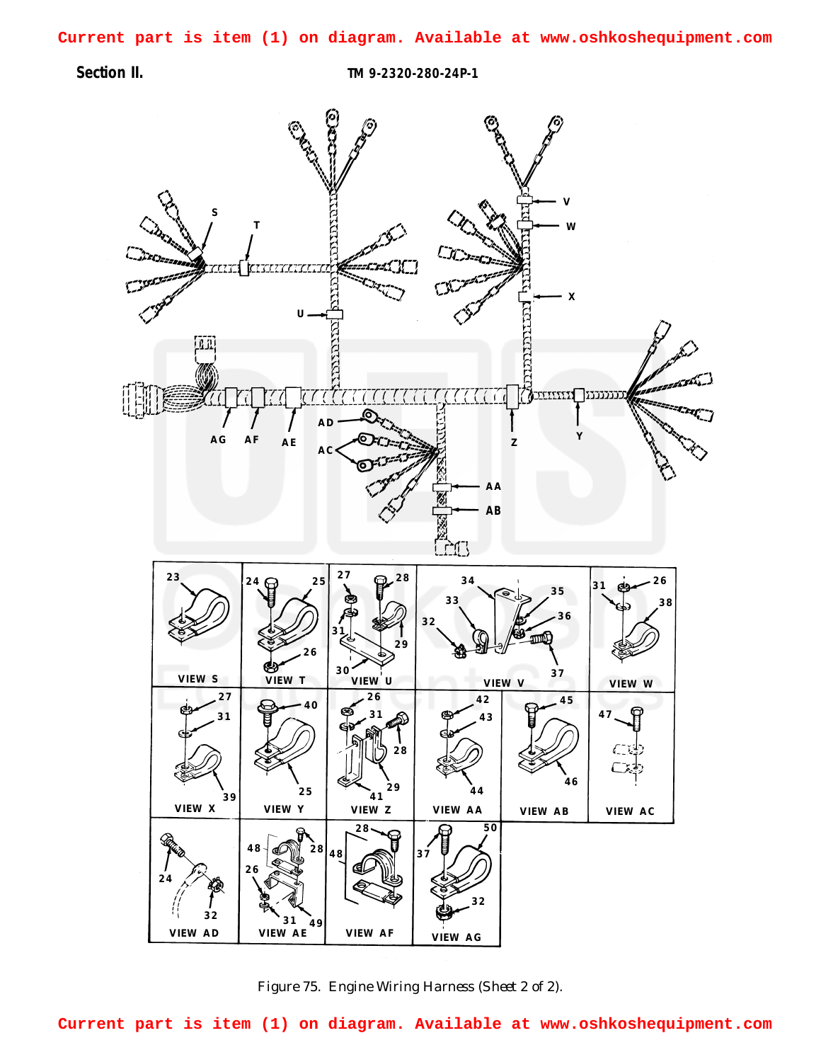**Section II. TM 9-2320-280-24P-1**



*Figure 75. Engine Wiring Harness (Sheet 2 of 2).*

**Current part is item (1) on diagram. Available at www.oshkoshequipment.com**